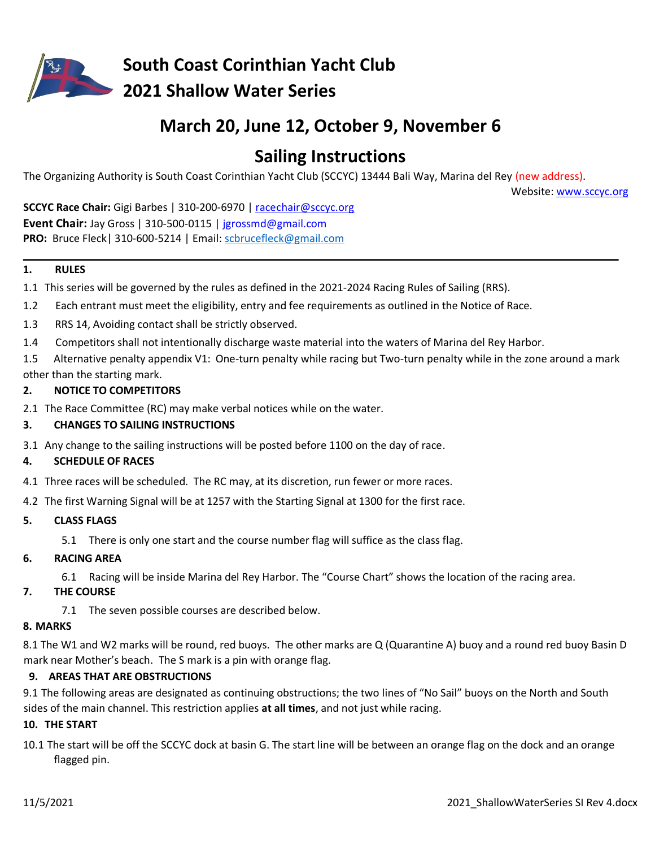

# **March 20, June 12, October 9, November 6**

# **Sailing Instructions**

The Organizing Authority is South Coast Corinthian Yacht Club (SCCYC) 13444 Bali Way, Marina del Rey (new address).

Website: [www.sccyc.org](http://www.sccyc.org/) 

**SCCYC Race Chair:** Gigi Barbes | 310-200-6970 | racechair@sccyc.org **Event Chair:** Jay Gross | 310-500-0115 | [jgrossmd@gmail.com](mailto:jgrossmd@gmail.com) **PRO:** Bruce Fleck| 310‐600-5214 | Email: [scbrucefleck@gmail.com](mailto:scbrucefleck@gmail.com) 

### **1. RULES**

- 1.1 This series will be governed by the rules as defined in the 2021-2024 Racing Rules of Sailing (RRS).
- 1.2 Each entrant must meet the eligibility, entry and fee requirements as outlined in the Notice of Race.
- 1.3 RRS 14, Avoiding contact shall be strictly observed.
- 1.4 Competitors shall not intentionally discharge waste material into the waters of Marina del Rey Harbor.

1.5 Alternative penalty appendix V1: One-turn penalty while racing but Two-turn penalty while in the zone around a mark other than the starting mark.

### **2. NOTICE TO COMPETITORS**

- 2.1 The Race Committee (RC) may make verbal notices while on the water.
- **3. CHANGES TO SAILING INSTRUCTIONS**
- 3.1 Any change to the sailing instructions will be posted before 1100 on the day of race.

### **4. SCHEDULE OF RACES**

4.1 Three races will be scheduled. The RC may, at its discretion, run fewer or more races.

4.2 The first Warning Signal will be at 1257 with the Starting Signal at 1300 for the first race.

### **5. CLASS FLAGS**

5.1 There is only one start and the course number flag will suffice as the class flag.

### **6. RACING AREA**

6.1 Racing will be inside Marina del Rey Harbor. The "Course Chart" shows the location of the racing area.

### **7. THE COURSE**

7.1 The seven possible courses are described below.

## **8. MARKS**

8.1 The W1 and W2 marks will be round, red buoys. The other marks are Q (Quarantine A) buoy and a round red buoy Basin D mark near Mother's beach. The S mark is a pin with orange flag.

## **9. AREAS THAT ARE OBSTRUCTIONS**

9.1 The following areas are designated as continuing obstructions; the two lines of "No Sail" buoys on the North and South sides of the main channel. This restriction applies **at all times**, and not just while racing.

### **10. THE START**

10.1 The start will be off the SCCYC dock at basin G. The start line will be between an orange flag on the dock and an orange flagged pin.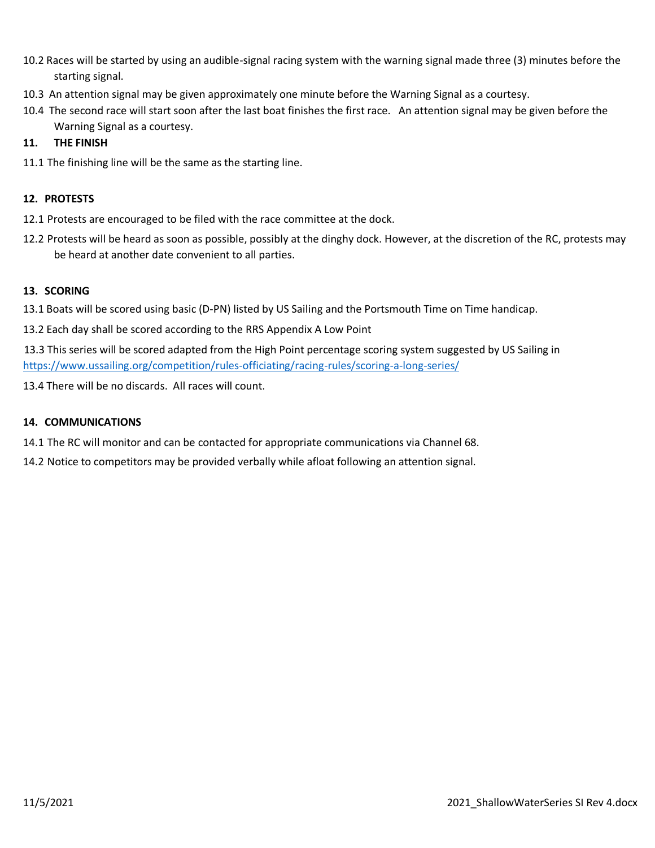- 10.2 Races will be started by using an audible-signal racing system with the warning signal made three (3) minutes before the starting signal.
- 10.3 An attention signal may be given approximately one minute before the Warning Signal as a courtesy.
- 10.4 The second race will start soon after the last boat finishes the first race. An attention signal may be given before the Warning Signal as a courtesy.

### **11. THE FINISH**

11.1 The finishing line will be the same as the starting line.

### **12. PROTESTS**

- 12.1 Protests are encouraged to be filed with the race committee at the dock.
- 12.2 Protests will be heard as soon as possible, possibly at the dinghy dock. However, at the discretion of the RC, protests may be heard at another date convenient to all parties.

### **13. SCORING**

13.1 Boats will be scored using basic (D-PN) listed by US Sailing and the Portsmouth Time on Time handicap.

13.2 Each day shall be scored according to the RRS Appendix A Low Point

13.3 This series will be scored adapted from the High Point percentage scoring system suggested by US Sailing in <https://www.ussailing.org/competition/rules-officiating/racing-rules/scoring-a-long-series/>

13.4 There will be no discards. All races will count.

### **14. COMMUNICATIONS**

14.1 The RC will monitor and can be contacted for appropriate communications via Channel 68.

14.2 Notice to competitors may be provided verbally while afloat following an attention signal.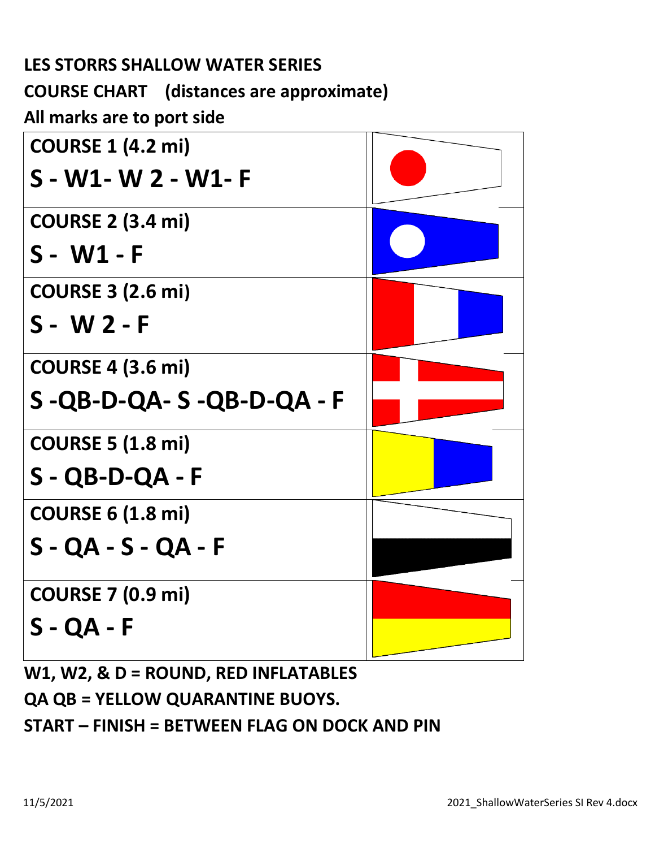| <b>LES STORRS SHALLOW WATER SERIES</b>          |  |
|-------------------------------------------------|--|
| <b>COURSE CHART</b> (distances are approximate) |  |
| All marks are to port side                      |  |
| <b>COURSE 1 (4.2 mi)</b>                        |  |
| S - W1- W 2 - W1- F                             |  |
| <b>COURSE 2 (3.4 mi)</b>                        |  |
| S - W1 - F                                      |  |
| <b>COURSE 3 (2.6 mi)</b>                        |  |
| $S - W 2 - F$                                   |  |
| <b>COURSE 4 (3.6 mi)</b>                        |  |
| $S - QB-D-QA-S-QB-D-QA-F$                       |  |
| <b>COURSE 5 (1.8 mi)</b>                        |  |
| $S - QB-D-QA - F$                               |  |
| <b>COURSE 6 (1.8 mi)</b>                        |  |
| $S - QA - S - QA - F$                           |  |
| <b>COURSE 7 (0.9 mi)</b>                        |  |
| $S - QA - F$                                    |  |
|                                                 |  |

**W1, W2, & D = ROUND, RED INFLATABLES QA QB = YELLOW QUARANTINE BUOYS. START – FINISH = BETWEEN FLAG ON DOCK AND PIN**